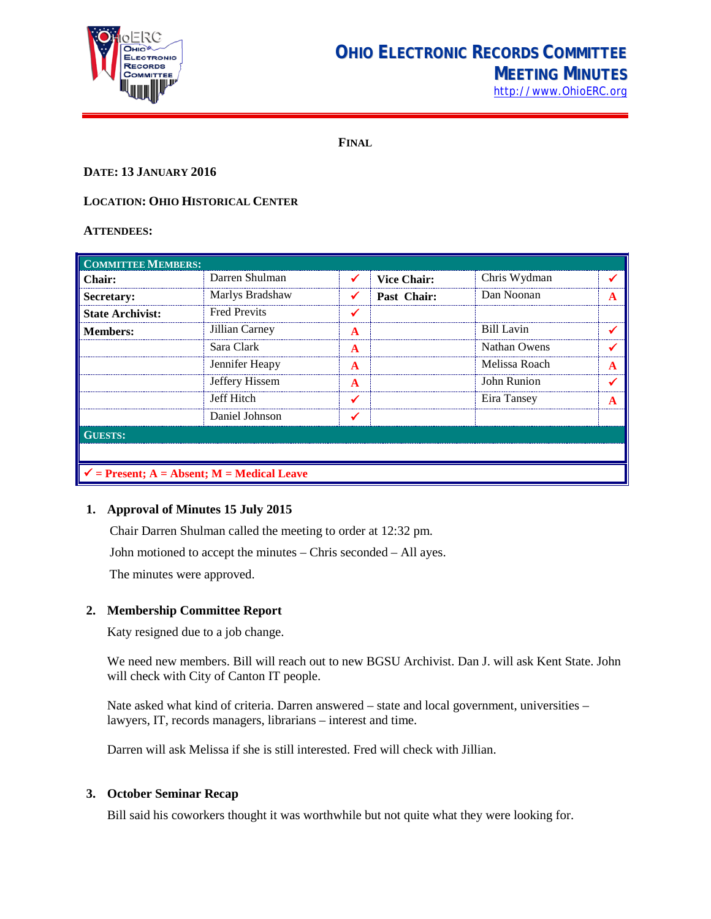

## **OHIO ELECTRONIC RECORDS COMMITTEE MEETING MINUTES**

[http://www.OhioERC.org](http://www.ohioerc.org/)

**FINAL**

## **DATE: 13 JANUARY 2016**

## **LOCATION: OHIO HISTORICAL CENTER**

#### **ATTENDEES:**

| <b>COMMITTEE MEMBERS:</b>                             |                     |   |                    |                    |   |  |  |
|-------------------------------------------------------|---------------------|---|--------------------|--------------------|---|--|--|
| Chair:                                                | Darren Shulman      |   | <b>Vice Chair:</b> | Chris Wydman       |   |  |  |
| <b>Secretary:</b>                                     | Marlys Bradshaw     |   | Past Chair:        | Dan Noonan         | А |  |  |
| <b>State Archivist:</b>                               | <b>Fred Previts</b> |   |                    |                    |   |  |  |
| <b>Members:</b>                                       | Jillian Carney      | A |                    | Bill Lavin         |   |  |  |
|                                                       | Sara Clark          | A |                    | Nathan Owens       |   |  |  |
|                                                       | Jennifer Heapy      | A |                    | Melissa Roach      |   |  |  |
|                                                       | Jeffery Hissem      | A |                    | <b>John Runion</b> |   |  |  |
|                                                       | Jeff Hitch          |   |                    | Eira Tansey        |   |  |  |
|                                                       | Daniel Johnson      |   |                    |                    |   |  |  |
| <b>GUESTS:</b>                                        |                     |   |                    |                    |   |  |  |
|                                                       |                     |   |                    |                    |   |  |  |
| $\checkmark$ = Present; A = Absent; M = Medical Leave |                     |   |                    |                    |   |  |  |

## **1. Approval of Minutes 15 July 2015**

Chair Darren Shulman called the meeting to order at 12:32 pm.

John motioned to accept the minutes – Chris seconded – All ayes.

The minutes were approved.

## **2. Membership Committee Report**

Katy resigned due to a job change.

We need new members. Bill will reach out to new BGSU Archivist. Dan J. will ask Kent State. John will check with City of Canton IT people.

Nate asked what kind of criteria. Darren answered – state and local government, universities – lawyers, IT, records managers, librarians – interest and time.

Darren will ask Melissa if she is still interested. Fred will check with Jillian.

## **3. October Seminar Recap**

Bill said his coworkers thought it was worthwhile but not quite what they were looking for.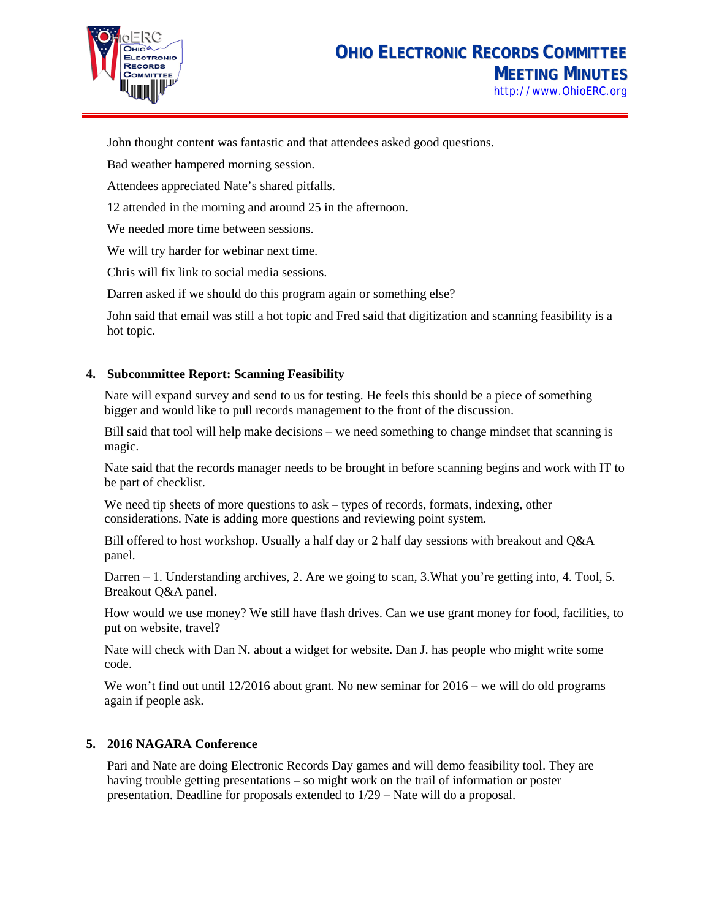

John thought content was fantastic and that attendees asked good questions.

Bad weather hampered morning session.

Attendees appreciated Nate's shared pitfalls.

12 attended in the morning and around 25 in the afternoon.

We needed more time between sessions.

We will try harder for webinar next time.

Chris will fix link to social media sessions.

Darren asked if we should do this program again or something else?

John said that email was still a hot topic and Fred said that digitization and scanning feasibility is a hot topic.

## **4. Subcommittee Report: Scanning Feasibility**

Nate will expand survey and send to us for testing. He feels this should be a piece of something bigger and would like to pull records management to the front of the discussion.

Bill said that tool will help make decisions – we need something to change mindset that scanning is magic.

Nate said that the records manager needs to be brought in before scanning begins and work with IT to be part of checklist.

We need tip sheets of more questions to ask – types of records, formats, indexing, other considerations. Nate is adding more questions and reviewing point system.

Bill offered to host workshop. Usually a half day or 2 half day sessions with breakout and Q&A panel.

Darren – 1. Understanding archives, 2. Are we going to scan, 3.What you're getting into, 4. Tool, 5. Breakout Q&A panel.

How would we use money? We still have flash drives. Can we use grant money for food, facilities, to put on website, travel?

Nate will check with Dan N. about a widget for website. Dan J. has people who might write some code.

We won't find out until 12/2016 about grant. No new seminar for  $2016 -$  we will do old programs again if people ask.

## **5. 2016 NAGARA Conference**

Pari and Nate are doing Electronic Records Day games and will demo feasibility tool. They are having trouble getting presentations – so might work on the trail of information or poster presentation. Deadline for proposals extended to 1/29 – Nate will do a proposal.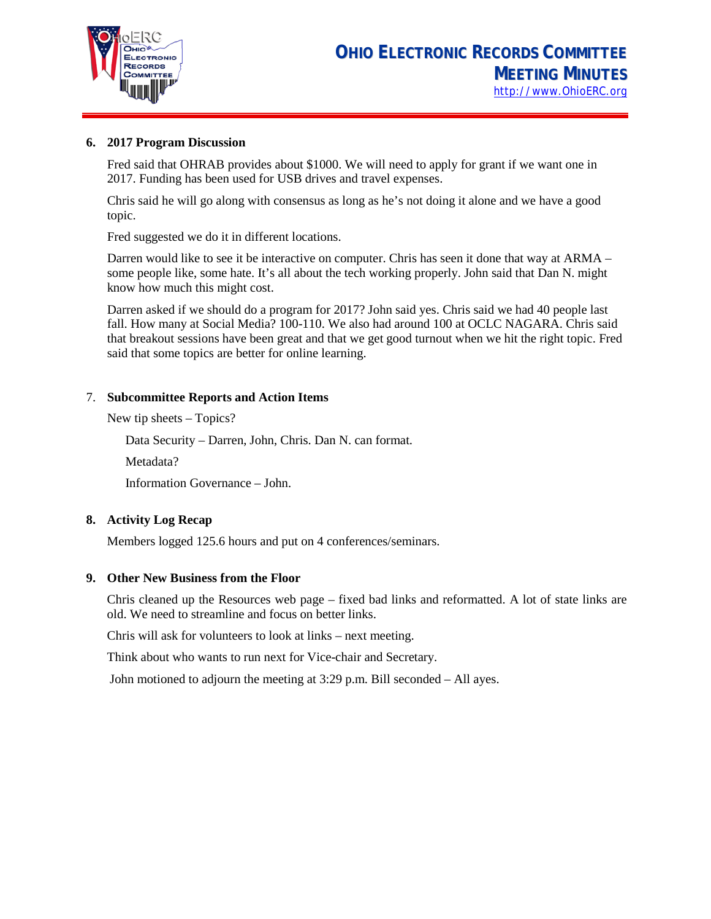

#### **6. 2017 Program Discussion**

Fred said that OHRAB provides about \$1000. We will need to apply for grant if we want one in 2017. Funding has been used for USB drives and travel expenses.

Chris said he will go along with consensus as long as he's not doing it alone and we have a good topic.

Fred suggested we do it in different locations.

Darren would like to see it be interactive on computer. Chris has seen it done that way at ARMA – some people like, some hate. It's all about the tech working properly. John said that Dan N. might know how much this might cost.

Darren asked if we should do a program for 2017? John said yes. Chris said we had 40 people last fall. How many at Social Media? 100-110. We also had around 100 at OCLC NAGARA. Chris said that breakout sessions have been great and that we get good turnout when we hit the right topic. Fred said that some topics are better for online learning.

#### 7. **Subcommittee Reports and Action Items**

New tip sheets – Topics?

Data Security – Darren, John, Chris. Dan N. can format.

Metadata?

Information Governance – John.

## **8. Activity Log Recap**

Members logged 125.6 hours and put on 4 conferences/seminars.

## **9. Other New Business from the Floor**

Chris cleaned up the Resources web page – fixed bad links and reformatted. A lot of state links are old. We need to streamline and focus on better links.

Chris will ask for volunteers to look at links – next meeting.

Think about who wants to run next for Vice-chair and Secretary.

John motioned to adjourn the meeting at 3:29 p.m. Bill seconded – All ayes.